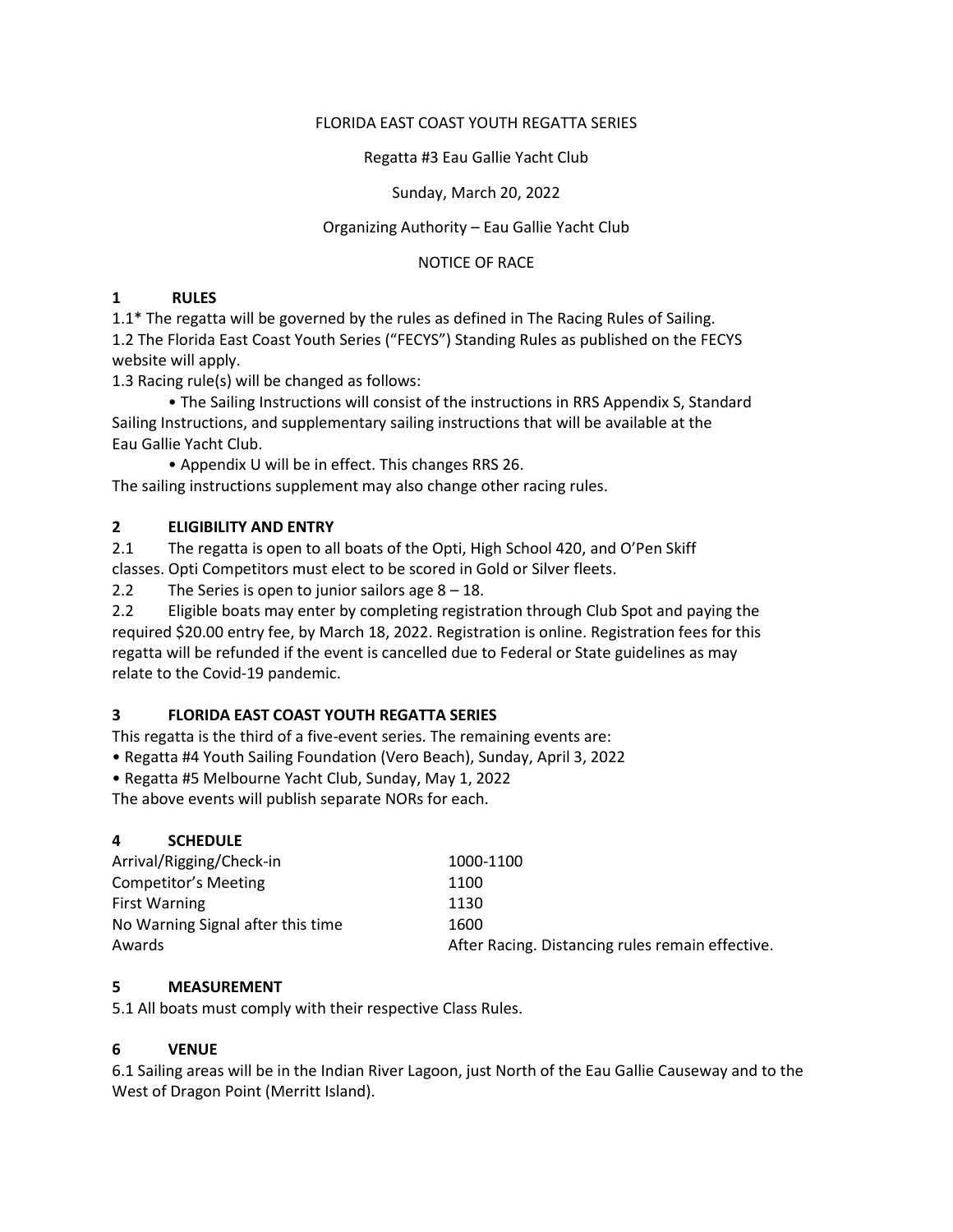#### FLORIDA EAST COAST YOUTH REGATTA SERIES

Regatta #3 Eau Gallie Yacht Club

Sunday, March 20, 2022

#### Organizing Authority – Eau Gallie Yacht Club

NOTICE OF RACE

#### **1 RULES**

1.1\* The regatta will be governed by the rules as defined in The Racing Rules of Sailing. 1.2 The Florida East Coast Youth Series ("FECYS") Standing Rules as published on the FECYS website will apply.

1.3 Racing rule(s) will be changed as follows:

• The Sailing Instructions will consist of the instructions in RRS Appendix S, Standard Sailing Instructions, and supplementary sailing instructions that will be available at the Eau Gallie Yacht Club.

• Appendix U will be in effect. This changes RRS 26.

The sailing instructions supplement may also change other racing rules.

# **2 ELIGIBILITY AND ENTRY**

2.1 The regatta is open to all boats of the Opti, High School 420, and O'Pen Skiff classes. Opti Competitors must elect to be scored in Gold or Silver fleets.

2.2 The Series is open to junior sailors age  $8 - 18$ .

2.2 Eligible boats may enter by completing registration through Club Spot and paying the required \$20.00 entry fee, by March 18, 2022. Registration is online. Registration fees for this regatta will be refunded if the event is cancelled due to Federal or State guidelines as may relate to the Covid-19 pandemic.

# **3 FLORIDA EAST COAST YOUTH REGATTA SERIES**

This regatta is the third of a five-event series. The remaining events are:

- Regatta #4 Youth Sailing Foundation (Vero Beach), Sunday, April 3, 2022
- Regatta #5 Melbourne Yacht Club, Sunday, May 1, 2022

The above events will publish separate NORs for each.

# **4 SCHEDULE**

| Arrival/Rigging/Check-in          | 1000-1100                                        |
|-----------------------------------|--------------------------------------------------|
| Competitor's Meeting              | 1100                                             |
| <b>First Warning</b>              | 1130                                             |
| No Warning Signal after this time | 1600                                             |
| Awards                            | After Racing. Distancing rules remain effective. |

# **5 MEASUREMENT**

5.1 All boats must comply with their respective Class Rules.

# **6 VENUE**

6.1 Sailing areas will be in the Indian River Lagoon, just North of the Eau Gallie Causeway and to the West of Dragon Point (Merritt Island).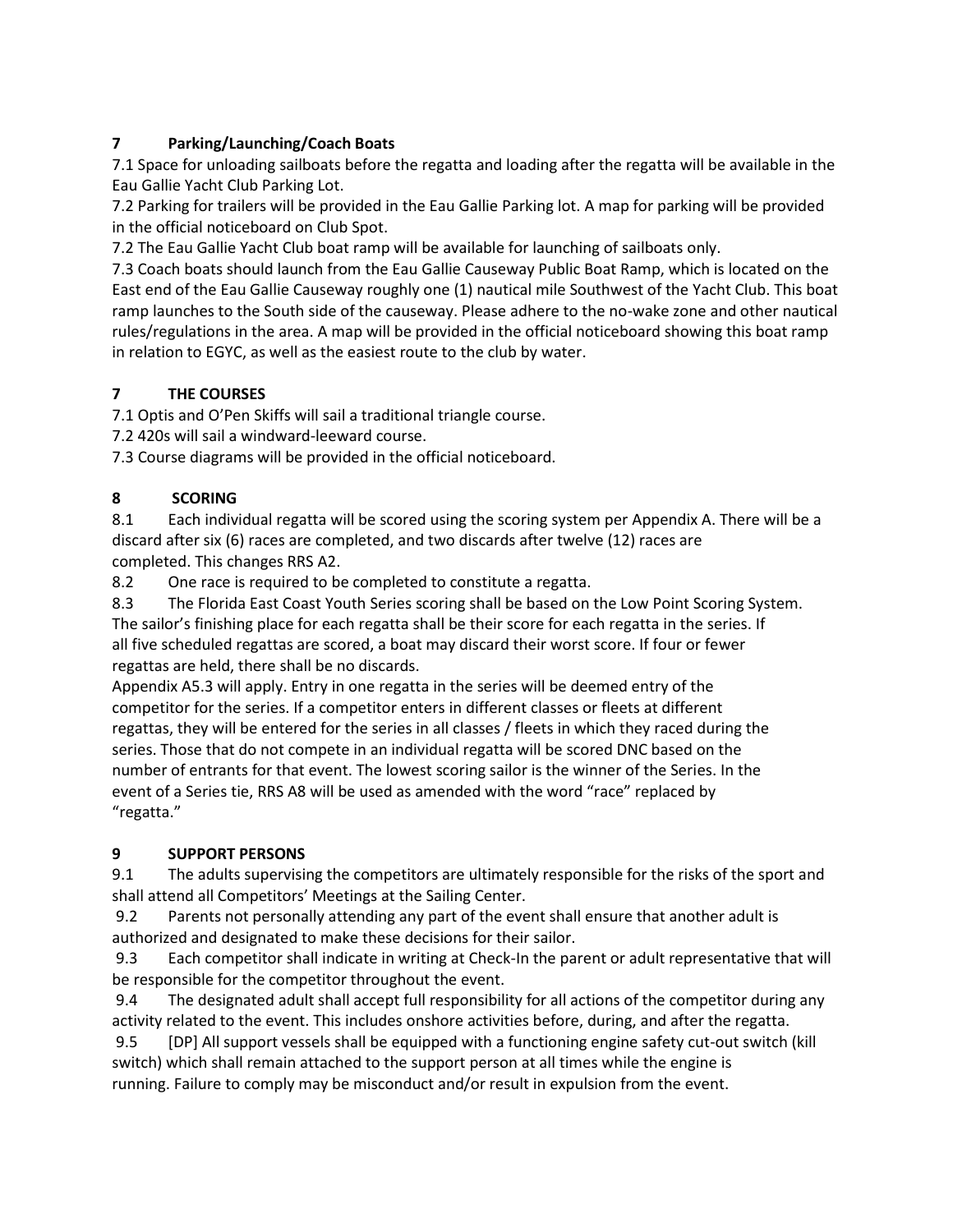# **7 Parking/Launching/Coach Boats**

7.1 Space for unloading sailboats before the regatta and loading after the regatta will be available in the Eau Gallie Yacht Club Parking Lot.

7.2 Parking for trailers will be provided in the Eau Gallie Parking lot. A map for parking will be provided in the official noticeboard on Club Spot.

7.2 The Eau Gallie Yacht Club boat ramp will be available for launching of sailboats only.

7.3 Coach boats should launch from the Eau Gallie Causeway Public Boat Ramp, which is located on the East end of the Eau Gallie Causeway roughly one (1) nautical mile Southwest of the Yacht Club. This boat ramp launches to the South side of the causeway. Please adhere to the no-wake zone and other nautical rules/regulations in the area. A map will be provided in the official noticeboard showing this boat ramp in relation to EGYC, as well as the easiest route to the club by water.

# **7 THE COURSES**

7.1 Optis and O'Pen Skiffs will sail a traditional triangle course.

7.2 420s will sail a windward-leeward course.

7.3 Course diagrams will be provided in the official noticeboard.

# **8 SCORING**

8.1 Each individual regatta will be scored using the scoring system per Appendix A. There will be a discard after six (6) races are completed, and two discards after twelve (12) races are completed. This changes RRS A2.

8.2 One race is required to be completed to constitute a regatta.

8.3 The Florida East Coast Youth Series scoring shall be based on the Low Point Scoring System. The sailor's finishing place for each regatta shall be their score for each regatta in the series. If all five scheduled regattas are scored, a boat may discard their worst score. If four or fewer regattas are held, there shall be no discards.

Appendix A5.3 will apply. Entry in one regatta in the series will be deemed entry of the competitor for the series. If a competitor enters in different classes or fleets at different regattas, they will be entered for the series in all classes / fleets in which they raced during the series. Those that do not compete in an individual regatta will be scored DNC based on the number of entrants for that event. The lowest scoring sailor is the winner of the Series. In the event of a Series tie, RRS A8 will be used as amended with the word "race" replaced by "regatta."

# **9 SUPPORT PERSONS**

9.1 The adults supervising the competitors are ultimately responsible for the risks of the sport and shall attend all Competitors' Meetings at the Sailing Center.

9.2 Parents not personally attending any part of the event shall ensure that another adult is authorized and designated to make these decisions for their sailor.

9.3 Each competitor shall indicate in writing at Check-In the parent or adult representative that will be responsible for the competitor throughout the event.

9.4 The designated adult shall accept full responsibility for all actions of the competitor during any activity related to the event. This includes onshore activities before, during, and after the regatta.

9.5 [DP] All support vessels shall be equipped with a functioning engine safety cut-out switch (kill switch) which shall remain attached to the support person at all times while the engine is running. Failure to comply may be misconduct and/or result in expulsion from the event.